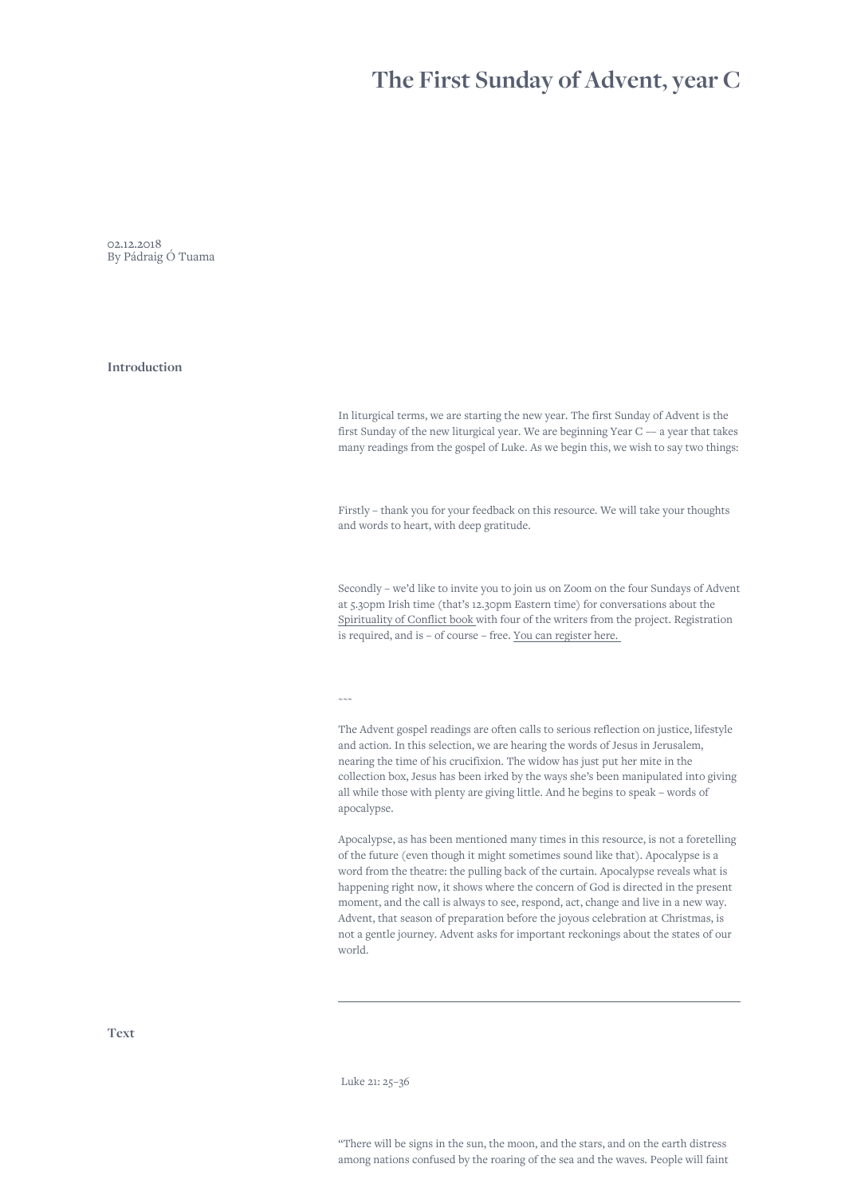## **The First Sunday of Advent, year C**

02.12.2018 By Pádraig Ó Tuama

**Introduction**

In liturgical terms, we are starting the new year. The first Sunday of Advent is the first Sunday of the new liturgical year. We are beginning Year C –– a year that takes many readings from the gospel of Luke. As we begin this, we wish to say two things:

Firstly – thank you for your feedback on this resource. We will take your thoughts and words to heart, with deep gratitude.

Secondly – we'd like to invite you to join us on Zoom on the four Sundays of Advent at 5.30pm Irish time (that's 12.30pm Eastern time) for conversations about the [Spirituality of Conflict book w](https://canterburypress.hymnsam.co.uk/books/9781786223999/what-were-you-arguing-about-along-the-way)ith four of the writers from the project. Registration is required, and is – of course – free. [You can register here.](https://us06web.zoom.us/meeting/register/tZcpde2qqT8sGtPaveCorT1BhaP9V_nIXWrK) 

 $\sim\sim\infty$ 

The Advent gospel readings are often calls to serious reflection on justice, lifestyle and action. In this selection, we are hearing the words of Jesus in Jerusalem, nearing the time of his crucifixion. The widow has just put her mite in the collection box, Jesus has been irked by the ways she's been manipulated into giving all while those with plenty are giving little. And he begins to speak – words of apocalypse.

Apocalypse, as has been mentioned many times in this resource, is not a foretelling of the future (even though it might sometimes sound like that). Apocalypse is a word from the theatre: the pulling back of the curtain. Apocalypse reveals what is happening right now, it shows where the concern of God is directed in the present moment, and the call is always to see, respond, act, change and live in a new way. Advent, that season of preparation before the joyous celebration at Christmas, is not a gentle journey. Advent asks for important reckonings about the states of our world.

**Text**

Luke 21: 25–36

"There will be signs in the sun, the moon, and the stars, and on the earth distress among nations confused by the roaring of the sea and the waves. People will faint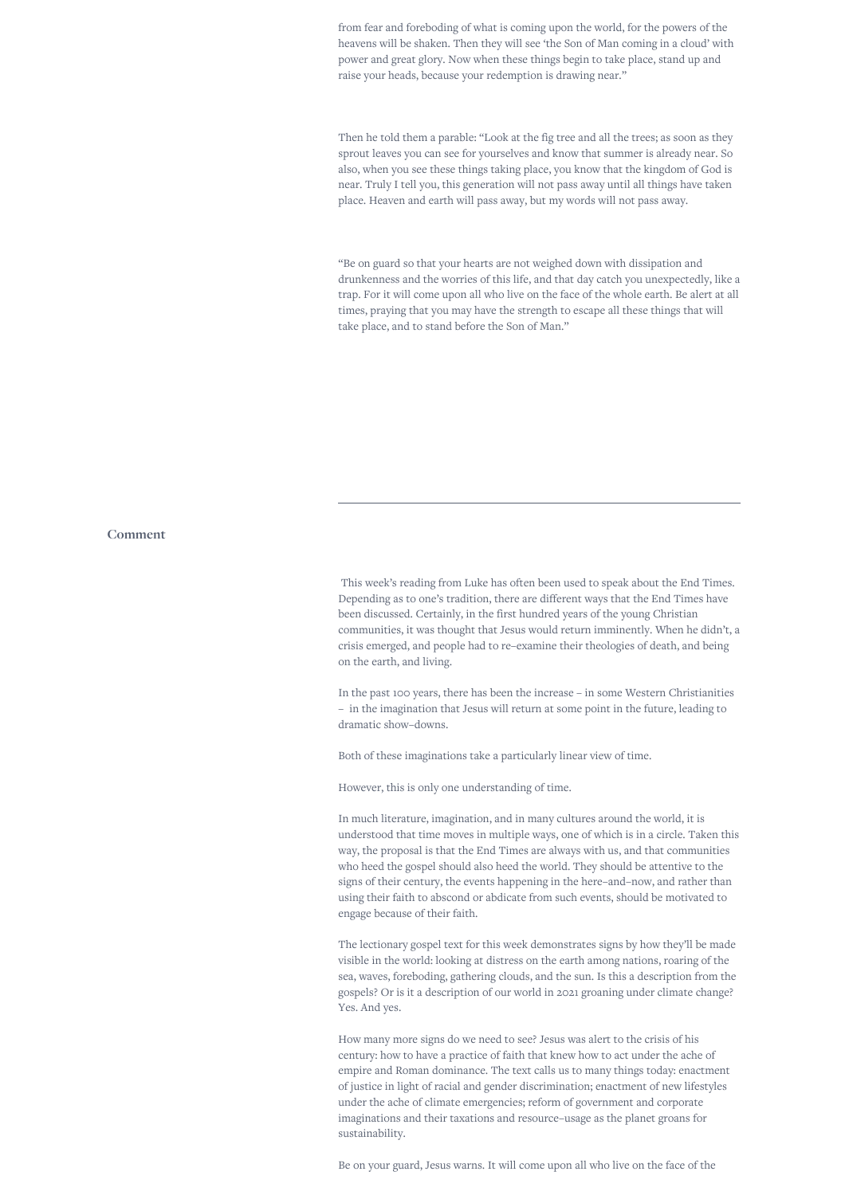from fear and foreboding of what is coming upon the world, for the powers of the heavens will be shaken. Then they will see 'the Son of Man coming in a cloud' with power and great glory. Now when these things begin to take place, stand up and raise your heads, because your redemption is drawing near."

Then he told them a parable: "Look at the fig tree and all the trees; as soon as they sprout leaves you can see for yourselves and know that summer is already near. So also, when you see these things taking place, you know that the kingdom of God is near. Truly I tell you, this generation will not pass away until all things have taken place. Heaven and earth will pass away, but my words will not pass away.

"Be on guard so that your hearts are not weighed down with dissipation and drunkenness and the worries of this life, and that day catch you unexpectedly, like a trap. For it will come upon all who live on the face of the whole earth. Be alert at all times, praying that you may have the strength to escape all these things that will take place, and to stand before the Son of Man."

## **Comment**

 This week's reading from Luke has often been used to speak about the End Times. Depending as to one's tradition, there are different ways that the End Times have been discussed. Certainly, in the first hundred years of the young Christian communities, it was thought that Jesus would return imminently. When he didn't, a crisis emerged, and people had to re–examine their theologies of death, and being on the earth, and living.

In the past 100 years, there has been the increase – in some Western Christianities – in the imagination that Jesus will return at some point in the future, leading to dramatic show–downs.

Both of these imaginations take a particularly linear view of time.

However, this is only one understanding of time.

In much literature, imagination, and in many cultures around the world, it is understood that time moves in multiple ways, one of which is in a circle. Taken this way, the proposal is that the End Times are always with us, and that communities who heed the gospel should also heed the world. They should be attentive to the signs of their century, the events happening in the here–and–now, and rather than using their faith to abscond or abdicate from such events, should be motivated to engage because of their faith.

The lectionary gospel text for this week demonstrates signs by how they'll be made visible in the world: looking at distress on the earth among nations, roaring of the sea, waves, foreboding, gathering clouds, and the sun. Is this a description from the gospels? Or is it a description of our world in 2021 groaning under climate change? Yes. And yes.

How many more signs do we need to see? Jesus was alert to the crisis of his century: how to have a practice of faith that knew how to act under the ache of empire and Roman dominance. The text calls us to many things today: enactment of justice in light of racial and gender discrimination; enactment of new lifestyles under the ache of climate emergencies; reform of government and corporate imaginations and their taxations and resource–usage as the planet groans for sustainability.

Be on your guard, Jesus warns. It will come upon all who live on the face of the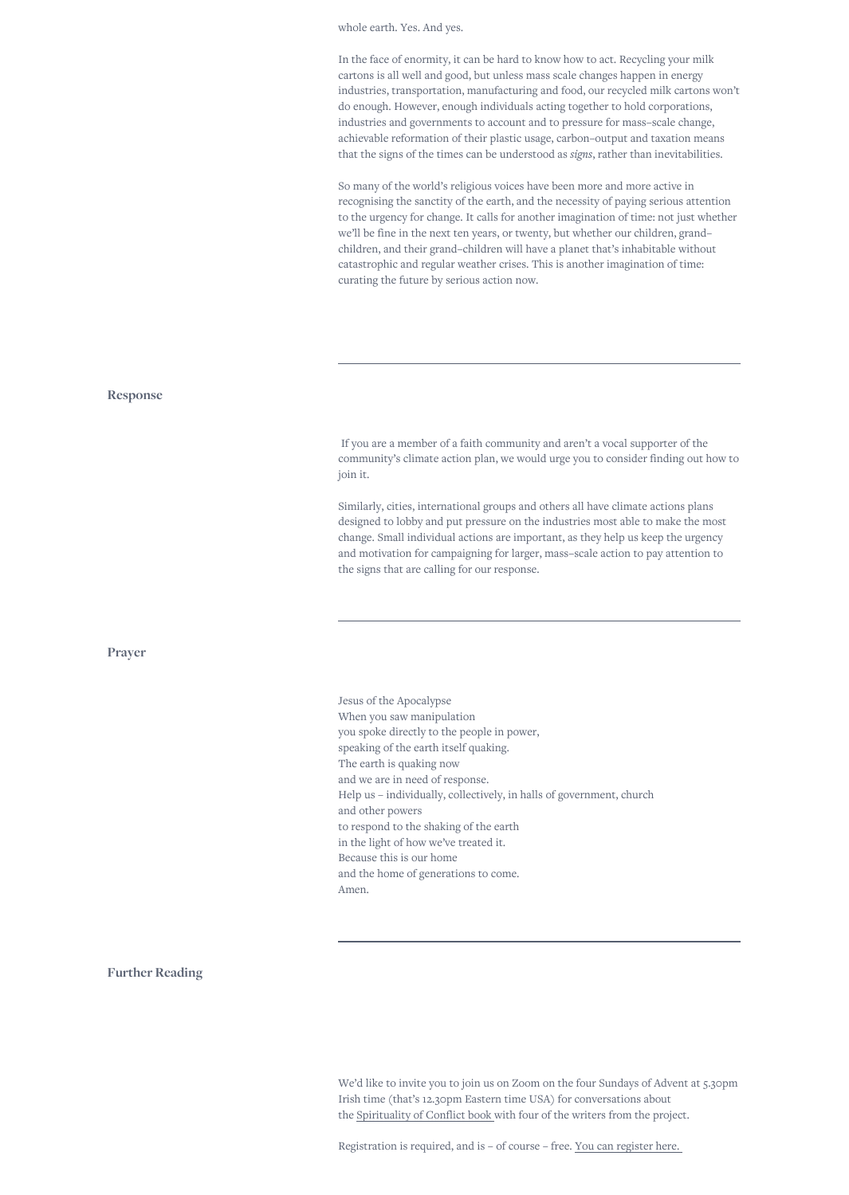whole earth. Yes. And yes.

In the face of enormity, it can be hard to know how to act. Recycling your milk cartons is all well and good, but unless mass scale changes happen in energy industries, transportation, manufacturing and food, our recycled milk cartons won't do enough. However, enough individuals acting together to hold corporations, industries and governments to account and to pressure for mass–scale change, achievable reformation of their plastic usage, carbon–output and taxation means that the signs of the times can be understood as *signs*, rather than inevitabilities.

So many of the world's religious voices have been more and more active in recognising the sanctity of the earth, and the necessity of paying serious attention to the urgency for change. It calls for another imagination of time: not just whether we'll be fine in the next ten years, or twenty, but whether our children, grand– children, and their grand–children will have a planet that's inhabitable without catastrophic and regular weather crises. This is another imagination of time: curating the future by serious action now.

 If you are a member of a faith community and aren't a vocal supporter of the community's climate action plan, we would urge you to consider finding out how to join it.

Similarly, cities, international groups and others all have climate actions plans designed to lobby and put pressure on the industries most able to make the most change. Small individual actions are important, as they help us keep the urgency and motivation for campaigning for larger, mass–scale action to pay attention to the signs that are calling for our response.

Jesus of the Apocalypse When you saw manipulation you spoke directly to the people in power, speaking of the earth itself quaking. The earth is quaking now and we are in need of response. Help us – individually, collectively, in halls of government, church and other powers to respond to the shaking of the earth in the light of how we've treated it. Because this is our home and the home of generations to come. Amen.

**Further Reading**

We'd like to invite you to join us on Zoom on the four Sundays of Advent at 5.30pm Irish time (that's 12.30pm Eastern time USA) for conversations about the [Spirituality of Conflict book w](https://canterburypress.hymnsam.co.uk/books/9781786223999/what-were-you-arguing-about-along-the-way)ith four of the writers from the project.

Registration is required, and is – of course – free. [You can register here.](https://us06web.zoom.us/meeting/register/tZcpde2qqT8sGtPaveCorT1BhaP9V_nIXWrK) 

## **Response**

**Prayer**